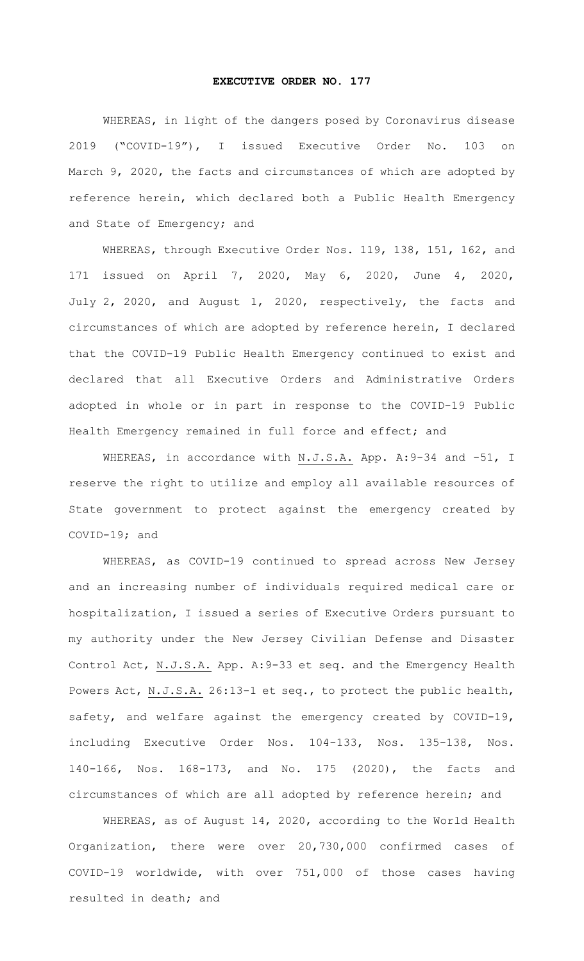## **EXECUTIVE ORDER NO. 177**

WHEREAS, in light of the dangers posed by Coronavirus disease 2019 ("COVID-19"), I issued Executive Order No. 103 on March 9, 2020, the facts and circumstances of which are adopted by reference herein, which declared both a Public Health Emergency and State of Emergency; and

WHEREAS, through Executive Order Nos. 119, 138, 151, 162, and 171 issued on April 7, 2020, May 6, 2020, June 4, 2020, July 2, 2020, and August 1, 2020, respectively, the facts and circumstances of which are adopted by reference herein, I declared that the COVID-19 Public Health Emergency continued to exist and declared that all Executive Orders and Administrative Orders adopted in whole or in part in response to the COVID-19 Public Health Emergency remained in full force and effect; and

WHEREAS, in accordance with N.J.S.A. App. A: 9-34 and -51, I reserve the right to utilize and employ all available resources of State government to protect against the emergency created by COVID-19; and

WHEREAS, as COVID-19 continued to spread across New Jersey and an increasing number of individuals required medical care or hospitalization, I issued a series of Executive Orders pursuant to my authority under the New Jersey Civilian Defense and Disaster Control Act, N.J.S.A. App. A:9-33 et seq. and the Emergency Health Powers Act, N.J.S.A. 26:13-1 et seq., to protect the public health, safety, and welfare against the emergency created by COVID-19, including Executive Order Nos. 104-133, Nos. 135-138, Nos. 140-166, Nos. 168-173, and No. 175 (2020), the facts and circumstances of which are all adopted by reference herein; and

WHEREAS, as of August 14, 2020, according to the World Health Organization, there were over 20,730,000 confirmed cases of COVID-19 worldwide, with over 751,000 of those cases having resulted in death; and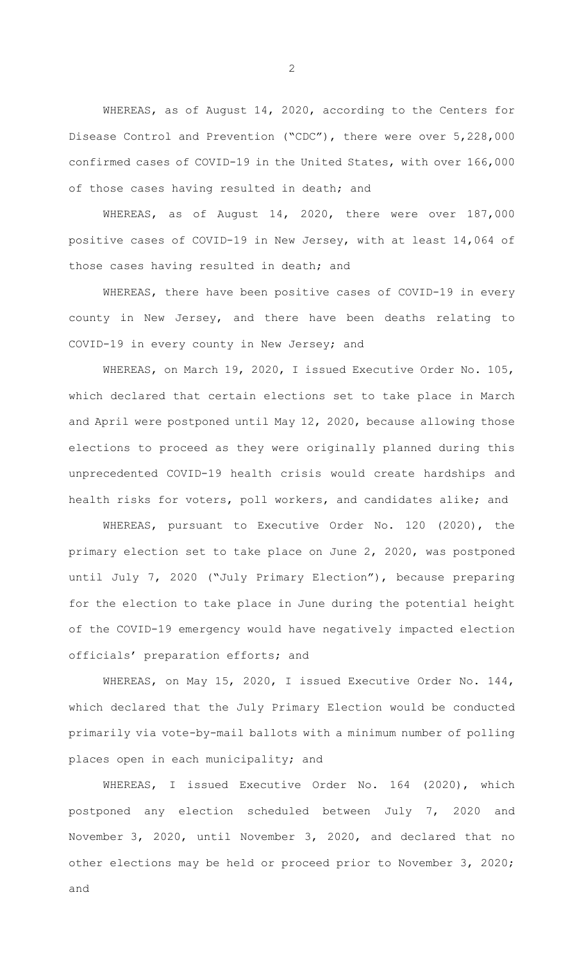WHEREAS, as of August 14, 2020, according to the Centers for Disease Control and Prevention ("CDC"), there were over 5,228,000 confirmed cases of COVID-19 in the United States, with over 166,000 of those cases having resulted in death; and

WHEREAS, as of August 14, 2020, there were over 187,000 positive cases of COVID-19 in New Jersey, with at least 14,064 of those cases having resulted in death; and

WHEREAS, there have been positive cases of COVID-19 in every county in New Jersey, and there have been deaths relating to COVID-19 in every county in New Jersey; and

WHEREAS, on March 19, 2020, I issued Executive Order No. 105, which declared that certain elections set to take place in March and April were postponed until May 12, 2020, because allowing those elections to proceed as they were originally planned during this unprecedented COVID-19 health crisis would create hardships and health risks for voters, poll workers, and candidates alike; and

WHEREAS, pursuant to Executive Order No. 120 (2020), the primary election set to take place on June 2, 2020, was postponed until July 7, 2020 ("July Primary Election"), because preparing for the election to take place in June during the potential height of the COVID-19 emergency would have negatively impacted election officials' preparation efforts; and

WHEREAS, on May 15, 2020, I issued Executive Order No. 144, which declared that the July Primary Election would be conducted primarily via vote-by-mail ballots with a minimum number of polling places open in each municipality; and

WHEREAS, I issued Executive Order No. 164 (2020), which postponed any election scheduled between July 7, 2020 and November 3, 2020, until November 3, 2020, and declared that no other elections may be held or proceed prior to November 3, 2020; and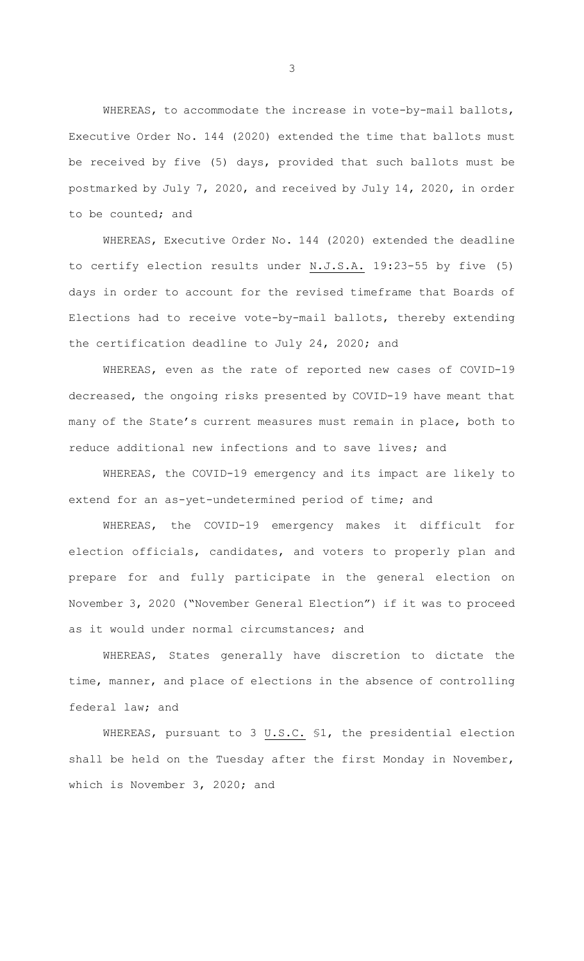WHEREAS, to accommodate the increase in vote-by-mail ballots, Executive Order No. 144 (2020) extended the time that ballots must be received by five (5) days, provided that such ballots must be postmarked by July 7, 2020, and received by July 14, 2020, in order to be counted; and

WHEREAS, Executive Order No. 144 (2020) extended the deadline to certify election results under N.J.S.A. 19:23-55 by five (5) days in order to account for the revised timeframe that Boards of Elections had to receive vote-by-mail ballots, thereby extending the certification deadline to July 24, 2020; and

WHEREAS, even as the rate of reported new cases of COVID-19 decreased, the ongoing risks presented by COVID-19 have meant that many of the State's current measures must remain in place, both to reduce additional new infections and to save lives; and

WHEREAS, the COVID-19 emergency and its impact are likely to extend for an as-yet-undetermined period of time; and

WHEREAS, the COVID-19 emergency makes it difficult for election officials, candidates, and voters to properly plan and prepare for and fully participate in the general election on November 3, 2020 ("November General Election") if it was to proceed as it would under normal circumstances; and

WHEREAS, States generally have discretion to dictate the time, manner, and place of elections in the absence of controlling federal law; and

WHEREAS, pursuant to 3 U.S.C. §1, the presidential election shall be held on the Tuesday after the first Monday in November, which is November 3, 2020; and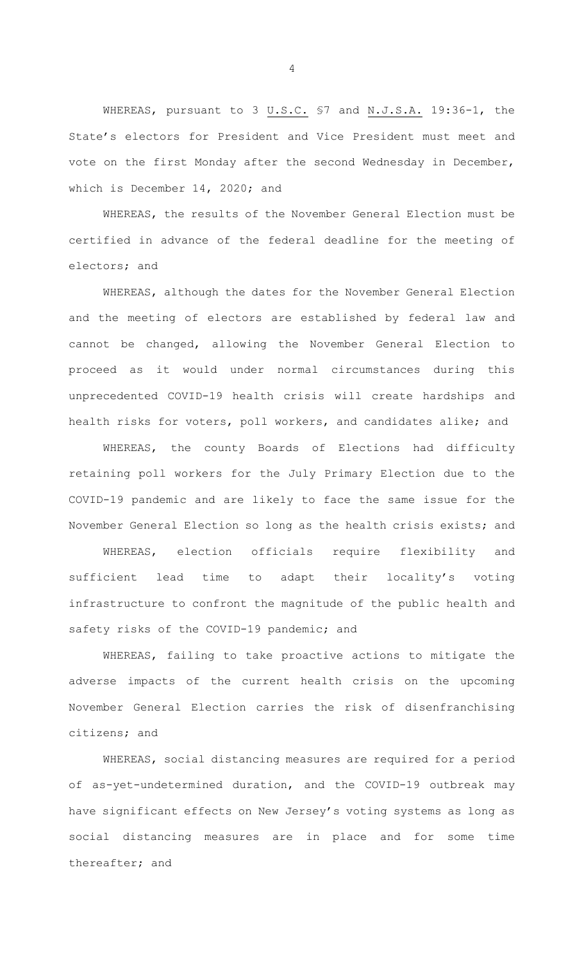WHEREAS, pursuant to 3 U.S.C. \$7 and N.J.S.A. 19:36-1, the State's electors for President and Vice President must meet and vote on the first Monday after the second Wednesday in December, which is December 14, 2020; and

WHEREAS, the results of the November General Election must be certified in advance of the federal deadline for the meeting of electors; and

WHEREAS, although the dates for the November General Election and the meeting of electors are established by federal law and cannot be changed, allowing the November General Election to proceed as it would under normal circumstances during this unprecedented COVID-19 health crisis will create hardships and health risks for voters, poll workers, and candidates alike; and

WHEREAS, the county Boards of Elections had difficulty retaining poll workers for the July Primary Election due to the COVID-19 pandemic and are likely to face the same issue for the November General Election so long as the health crisis exists; and

WHEREAS, election officials require flexibility and sufficient lead time to adapt their locality's voting infrastructure to confront the magnitude of the public health and safety risks of the COVID-19 pandemic; and

WHEREAS, failing to take proactive actions to mitigate the adverse impacts of the current health crisis on the upcoming November General Election carries the risk of disenfranchising citizens; and

WHEREAS, social distancing measures are required for a period of as-yet-undetermined duration, and the COVID-19 outbreak may have significant effects on New Jersey's voting systems as long as social distancing measures are in place and for some time thereafter; and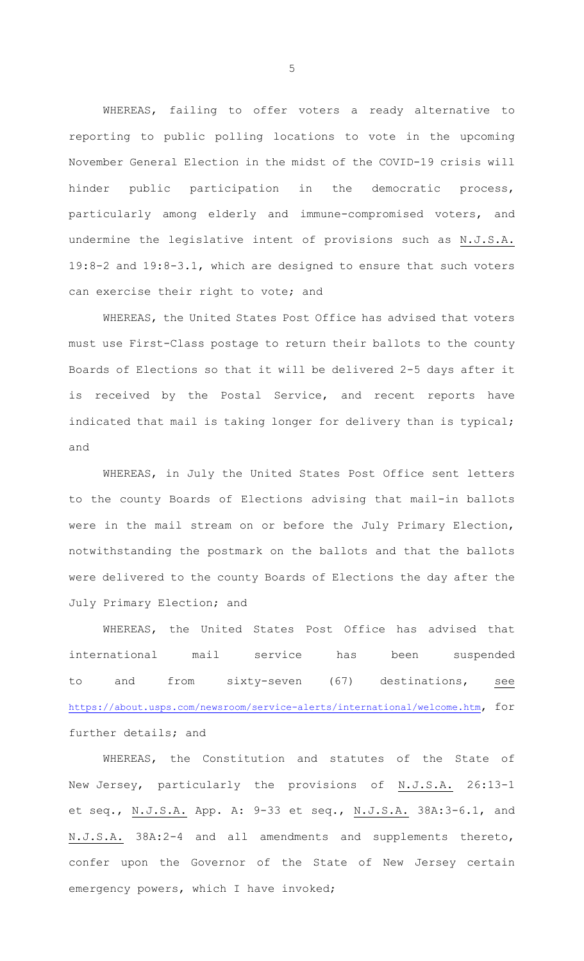WHEREAS, failing to offer voters a ready alternative to reporting to public polling locations to vote in the upcoming November General Election in the midst of the COVID-19 crisis will hinder public participation in the democratic process, particularly among elderly and immune-compromised voters, and undermine the legislative intent of provisions such as N.J.S.A. 19:8-2 and 19:8-3.1, which are designed to ensure that such voters can exercise their right to vote; and

WHEREAS, the United States Post Office has advised that voters must use First-Class postage to return their ballots to the county Boards of Elections so that it will be delivered 2-5 days after it is received by the Postal Service, and recent reports have indicated that mail is taking longer for delivery than is typical; and

WHEREAS, in July the United States Post Office sent letters to the county Boards of Elections advising that mail-in ballots were in the mail stream on or before the July Primary Election, notwithstanding the postmark on the ballots and that the ballots were delivered to the county Boards of Elections the day after the July Primary Election; and

WHEREAS, the United States Post Office has advised that international mail service has been suspended to and from sixty-seven (67) destinations, see https://about.usps.com/newsroom/service-alerts/international/welcome.htm, for further details; and

WHEREAS, the Constitution and statutes of the State of New Jersey, particularly the provisions of N.J.S.A. 26:13-1 et seq., N.J.S.A. App. A: 9-33 et seq., N.J.S.A. 38A:3-6.1, and N.J.S.A. 38A:2-4 and all amendments and supplements thereto, confer upon the Governor of the State of New Jersey certain emergency powers, which I have invoked;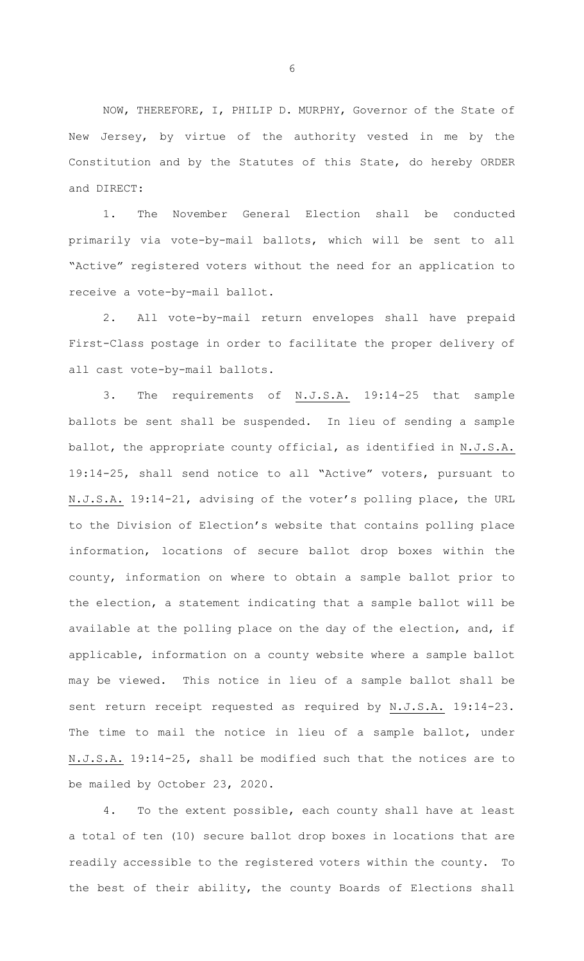NOW, THEREFORE, I, PHILIP D. MURPHY, Governor of the State of New Jersey, by virtue of the authority vested in me by the Constitution and by the Statutes of this State, do hereby ORDER and DIRECT:

1. The November General Election shall be conducted primarily via vote-by-mail ballots, which will be sent to all "Active" registered voters without the need for an application to receive a vote-by-mail ballot.

2. All vote-by-mail return envelopes shall have prepaid First-Class postage in order to facilitate the proper delivery of all cast vote-by-mail ballots.

3. The requirements of N.J.S.A. 19:14-25 that sample ballots be sent shall be suspended. In lieu of sending a sample ballot, the appropriate county official, as identified in N.J.S.A. 19:14-25, shall send notice to all "Active" voters, pursuant to N.J.S.A. 19:14-21, advising of the voter's polling place, the URL to the Division of Election's website that contains polling place information, locations of secure ballot drop boxes within the county, information on where to obtain a sample ballot prior to the election, a statement indicating that a sample ballot will be available at the polling place on the day of the election, and, if applicable, information on a county website where a sample ballot may be viewed. This notice in lieu of a sample ballot shall be sent return receipt requested as required by N.J.S.A. 19:14-23. The time to mail the notice in lieu of a sample ballot, under N.J.S.A. 19:14-25, shall be modified such that the notices are to be mailed by October 23, 2020.

4. To the extent possible, each county shall have at least a total of ten (10) secure ballot drop boxes in locations that are readily accessible to the registered voters within the county. To the best of their ability, the county Boards of Elections shall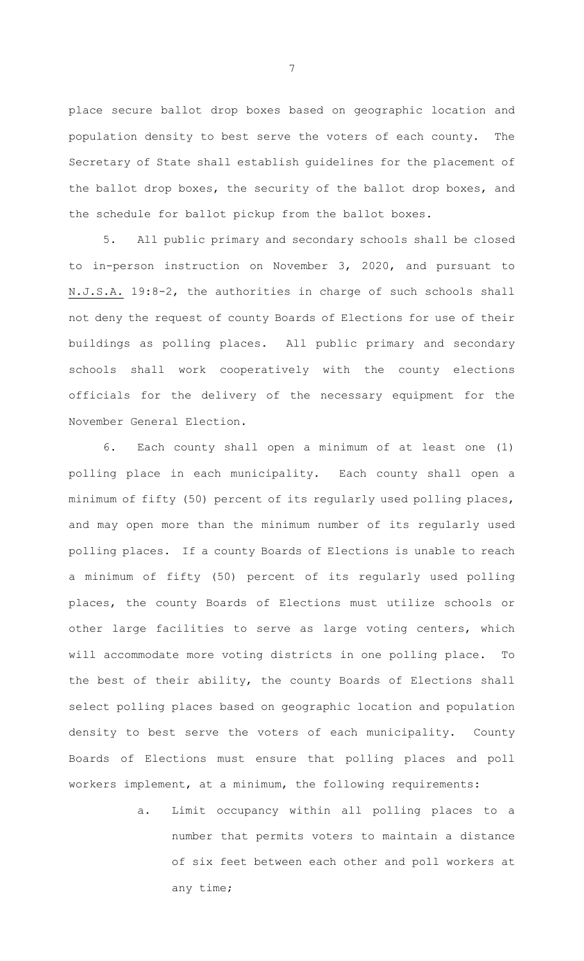place secure ballot drop boxes based on geographic location and population density to best serve the voters of each county. The Secretary of State shall establish guidelines for the placement of the ballot drop boxes, the security of the ballot drop boxes, and the schedule for ballot pickup from the ballot boxes.

5. All public primary and secondary schools shall be closed to in-person instruction on November 3, 2020, and pursuant to N.J.S.A. 19:8-2, the authorities in charge of such schools shall not deny the request of county Boards of Elections for use of their buildings as polling places. All public primary and secondary schools shall work cooperatively with the county elections officials for the delivery of the necessary equipment for the November General Election.

6. Each county shall open a minimum of at least one (1) polling place in each municipality. Each county shall open a minimum of fifty (50) percent of its regularly used polling places, and may open more than the minimum number of its regularly used polling places. If a county Boards of Elections is unable to reach a minimum of fifty (50) percent of its regularly used polling places, the county Boards of Elections must utilize schools or other large facilities to serve as large voting centers, which will accommodate more voting districts in one polling place. To the best of their ability, the county Boards of Elections shall select polling places based on geographic location and population density to best serve the voters of each municipality. County Boards of Elections must ensure that polling places and poll workers implement, at a minimum, the following requirements:

> a. Limit occupancy within all polling places to a number that permits voters to maintain a distance of six feet between each other and poll workers at any time;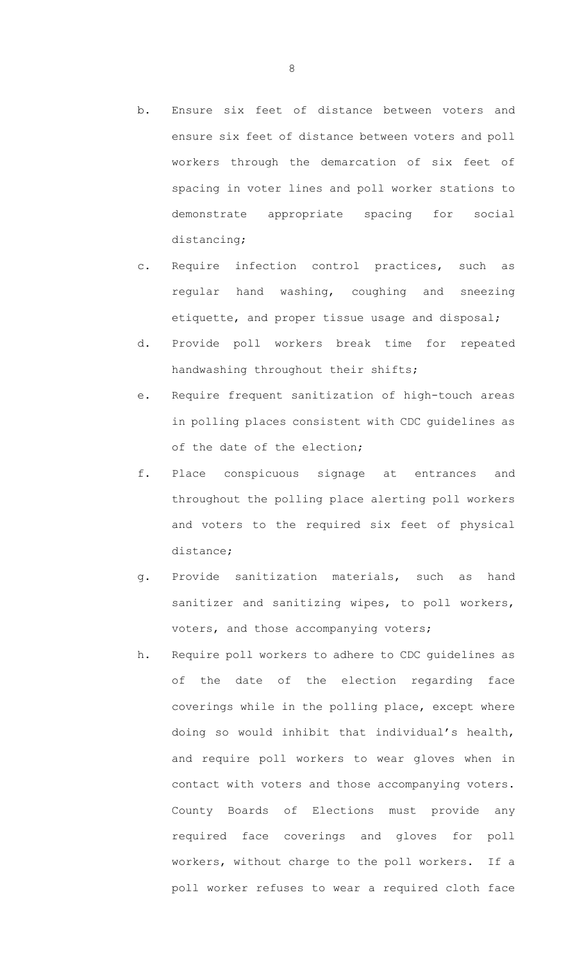- b. Ensure six feet of distance between voters and ensure six feet of distance between voters and poll workers through the demarcation of six feet of spacing in voter lines and poll worker stations to demonstrate appropriate spacing for social distancing;
- c. Require infection control practices, such as regular hand washing, coughing and sneezing etiquette, and proper tissue usage and disposal;
- d. Provide poll workers break time for repeated handwashing throughout their shifts;
- e. Require frequent sanitization of high-touch areas in polling places consistent with CDC guidelines as of the date of the election;
- f. Place conspicuous signage at entrances and throughout the polling place alerting poll workers and voters to the required six feet of physical distance;
- g. Provide sanitization materials, such as hand sanitizer and sanitizing wipes, to poll workers, voters, and those accompanying voters;
- h. Require poll workers to adhere to CDC guidelines as of the date of the election regarding face coverings while in the polling place, except where doing so would inhibit that individual's health, and require poll workers to wear gloves when in contact with voters and those accompanying voters. County Boards of Elections must provide any required face coverings and gloves for poll workers, without charge to the poll workers. If a poll worker refuses to wear a required cloth face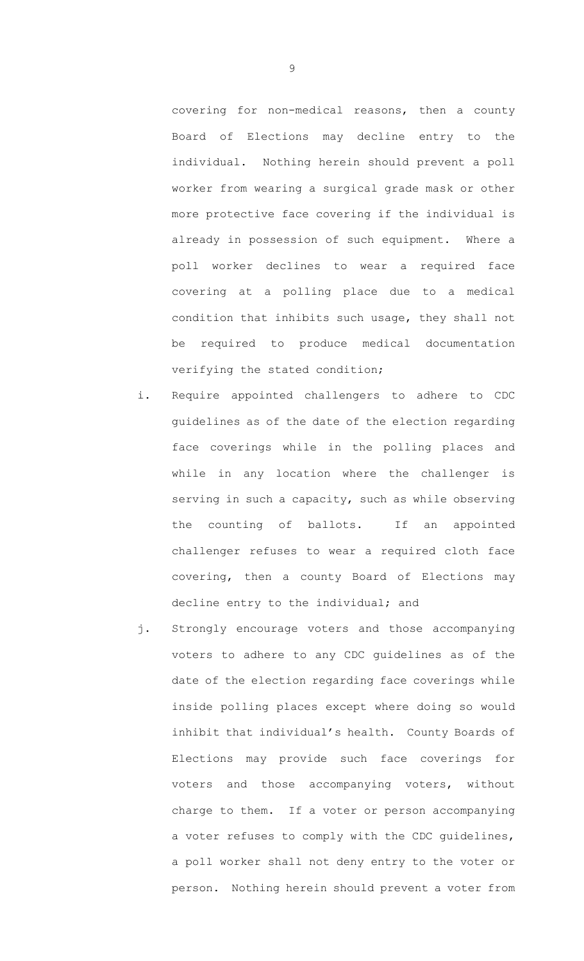covering for non-medical reasons, then a county Board of Elections may decline entry to the individual. Nothing herein should prevent a poll worker from wearing a surgical grade mask or other more protective face covering if the individual is already in possession of such equipment. Where a poll worker declines to wear a required face covering at a polling place due to a medical condition that inhibits such usage, they shall not be required to produce medical documentation verifying the stated condition;

- i. Require appointed challengers to adhere to CDC guidelines as of the date of the election regarding face coverings while in the polling places and while in any location where the challenger is serving in such a capacity, such as while observing the counting of ballots. If an appointed challenger refuses to wear a required cloth face covering, then a county Board of Elections may decline entry to the individual; and
- j. Strongly encourage voters and those accompanying voters to adhere to any CDC guidelines as of the date of the election regarding face coverings while inside polling places except where doing so would inhibit that individual's health. County Boards of Elections may provide such face coverings for voters and those accompanying voters, without charge to them. If a voter or person accompanying a voter refuses to comply with the CDC guidelines, a poll worker shall not deny entry to the voter or person. Nothing herein should prevent a voter from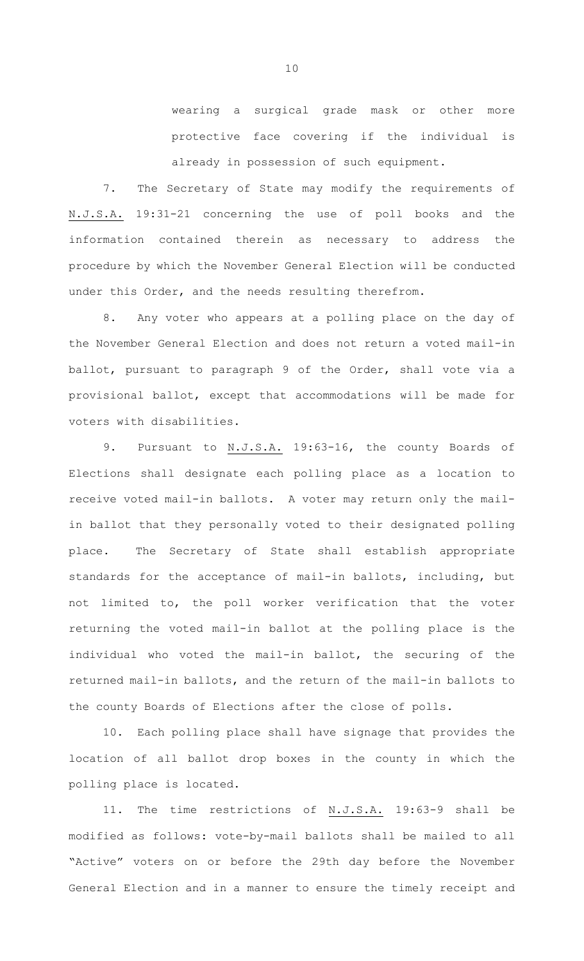wearing a surgical grade mask or other more protective face covering if the individual is already in possession of such equipment.

7. The Secretary of State may modify the requirements of N.J.S.A. 19:31-21 concerning the use of poll books and the information contained therein as necessary to address the procedure by which the November General Election will be conducted under this Order, and the needs resulting therefrom.

8. Any voter who appears at a polling place on the day of the November General Election and does not return a voted mail-in ballot, pursuant to paragraph 9 of the Order, shall vote via a provisional ballot, except that accommodations will be made for voters with disabilities.

9. Pursuant to N.J.S.A. 19:63-16, the county Boards of Elections shall designate each polling place as a location to receive voted mail-in ballots. A voter may return only the mailin ballot that they personally voted to their designated polling place. The Secretary of State shall establish appropriate standards for the acceptance of mail-in ballots, including, but not limited to, the poll worker verification that the voter returning the voted mail-in ballot at the polling place is the individual who voted the mail-in ballot, the securing of the returned mail-in ballots, and the return of the mail-in ballots to the county Boards of Elections after the close of polls.

10. Each polling place shall have signage that provides the location of all ballot drop boxes in the county in which the polling place is located.

11. The time restrictions of N.J.S.A. 19:63-9 shall be modified as follows: vote-by-mail ballots shall be mailed to all "Active" voters on or before the 29th day before the November General Election and in a manner to ensure the timely receipt and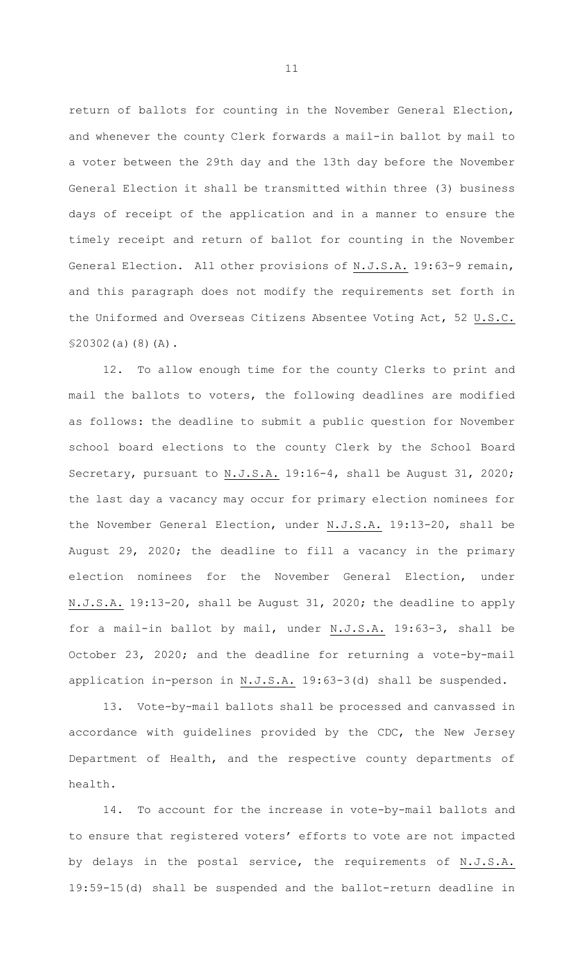return of ballots for counting in the November General Election, and whenever the county Clerk forwards a mail-in ballot by mail to a voter between the 29th day and the 13th day before the November General Election it shall be transmitted within three (3) business days of receipt of the application and in a manner to ensure the timely receipt and return of ballot for counting in the November General Election. All other provisions of N.J.S.A. 19:63-9 remain, and this paragraph does not modify the requirements set forth in the Uniformed and Overseas Citizens Absentee Voting Act, 52 U.S.C. §20302(a)(8)(A).

12. To allow enough time for the county Clerks to print and mail the ballots to voters, the following deadlines are modified as follows: the deadline to submit a public question for November school board elections to the county Clerk by the School Board Secretary, pursuant to N.J.S.A. 19:16-4, shall be August 31, 2020; the last day a vacancy may occur for primary election nominees for the November General Election, under N.J.S.A. 19:13-20, shall be August 29, 2020; the deadline to fill a vacancy in the primary election nominees for the November General Election, under N.J.S.A. 19:13-20, shall be August 31, 2020; the deadline to apply for a mail-in ballot by mail, under N.J.S.A. 19:63-3, shall be October 23, 2020; and the deadline for returning a vote-by-mail application in-person in N.J.S.A. 19:63-3(d) shall be suspended.

13. Vote-by-mail ballots shall be processed and canvassed in accordance with guidelines provided by the CDC, the New Jersey Department of Health, and the respective county departments of health.

14. To account for the increase in vote-by-mail ballots and to ensure that registered voters' efforts to vote are not impacted by delays in the postal service, the requirements of N.J.S.A. 19:59-15(d) shall be suspended and the ballot-return deadline in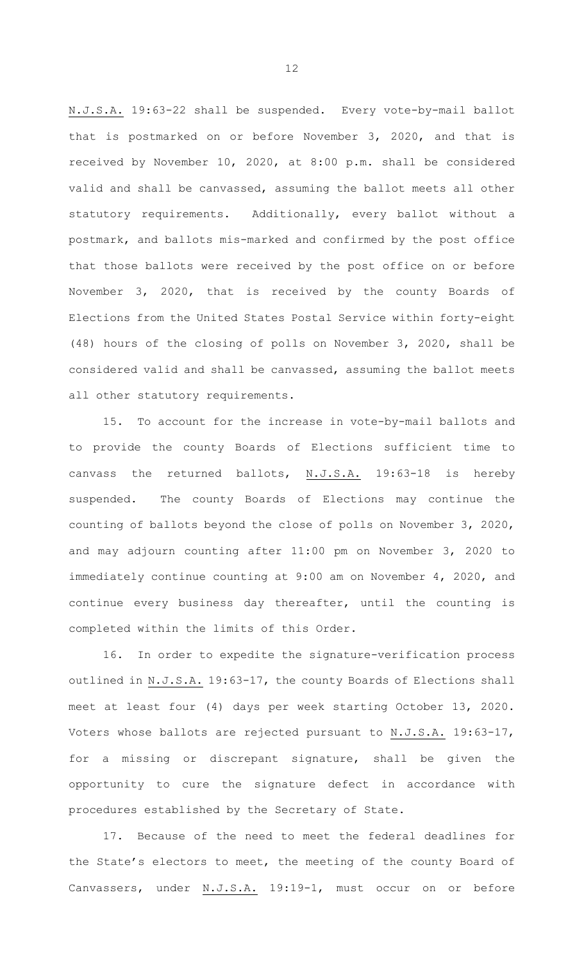N.J.S.A. 19:63-22 shall be suspended. Every vote-by-mail ballot that is postmarked on or before November 3, 2020, and that is received by November 10, 2020, at 8:00 p.m. shall be considered valid and shall be canvassed, assuming the ballot meets all other statutory requirements. Additionally, every ballot without a postmark, and ballots mis-marked and confirmed by the post office that those ballots were received by the post office on or before November 3, 2020, that is received by the county Boards of Elections from the United States Postal Service within forty-eight (48) hours of the closing of polls on November 3, 2020, shall be considered valid and shall be canvassed, assuming the ballot meets all other statutory requirements.

15. To account for the increase in vote-by-mail ballots and to provide the county Boards of Elections sufficient time to canvass the returned ballots, N.J.S.A. 19:63-18 is hereby suspended. The county Boards of Elections may continue the counting of ballots beyond the close of polls on November 3, 2020, and may adjourn counting after 11:00 pm on November 3, 2020 to immediately continue counting at 9:00 am on November 4, 2020, and continue every business day thereafter, until the counting is completed within the limits of this Order.

16. In order to expedite the signature-verification process outlined in N.J.S.A. 19:63-17, the county Boards of Elections shall meet at least four (4) days per week starting October 13, 2020. Voters whose ballots are rejected pursuant to N.J.S.A. 19:63-17, for a missing or discrepant signature, shall be given the opportunity to cure the signature defect in accordance with procedures established by the Secretary of State.

17. Because of the need to meet the federal deadlines for the State's electors to meet, the meeting of the county Board of Canvassers, under N.J.S.A. 19:19-1, must occur on or before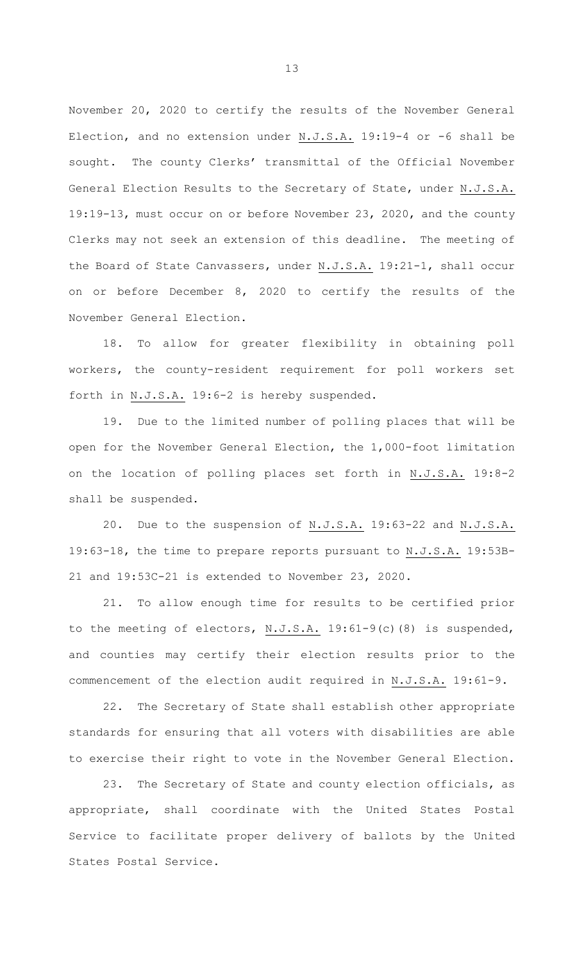November 20, 2020 to certify the results of the November General Election, and no extension under  $N.J.S.A.$  19:19-4 or -6 shall be sought. The county Clerks' transmittal of the Official November General Election Results to the Secretary of State, under N.J.S.A. 19:19-13, must occur on or before November 23, 2020, and the county Clerks may not seek an extension of this deadline. The meeting of the Board of State Canvassers, under N.J.S.A. 19:21-1, shall occur on or before December 8, 2020 to certify the results of the November General Election.

18. To allow for greater flexibility in obtaining poll workers, the county-resident requirement for poll workers set forth in N.J.S.A. 19:6-2 is hereby suspended.

19. Due to the limited number of polling places that will be open for the November General Election, the 1,000-foot limitation on the location of polling places set forth in N.J.S.A. 19:8-2 shall be suspended.

20. Due to the suspension of N.J.S.A. 19:63-22 and N.J.S.A. 19:63-18, the time to prepare reports pursuant to N.J.S.A. 19:53B-21 and 19:53C-21 is extended to November 23, 2020.

21. To allow enough time for results to be certified prior to the meeting of electors, N.J.S.A. 19:61-9(c)(8) is suspended, and counties may certify their election results prior to the commencement of the election audit required in N.J.S.A. 19:61-9.

22. The Secretary of State shall establish other appropriate standards for ensuring that all voters with disabilities are able to exercise their right to vote in the November General Election.

23. The Secretary of State and county election officials, as appropriate, shall coordinate with the United States Postal Service to facilitate proper delivery of ballots by the United States Postal Service.